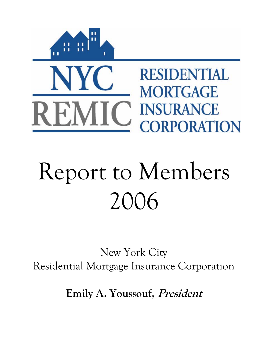

# Report to Members 2006

New York City Residential Mortgage Insurance Corporation

**Emily A. Youssouf, President**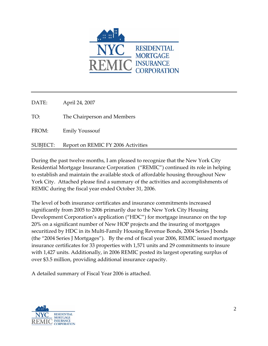

DATE: April 24, 2007 TO: The Chairperson and Members FROM: Emily Youssouf SUBJECT: Report on REMIC FY 2006 Activities

During the past twelve months, I am pleased to recognize that the New York City Residential Mortgage Insurance Corporation ("REMIC") continued its role in helping to establish and maintain the available stock of affordable housing throughout New York City. Attached please find a summary of the activities and accomplishments of REMIC during the fiscal year ended October 31, 2006.

The level of both insurance certificates and insurance commitments increased significantly from 2005 to 2006 primarily due to the New York City Housing Development Corporation's application ("HDC") for mortgage insurance on the top 20% on a significant number of New HOP projects and the insuring of mortgages securitized by HDC in its Multi-Family Housing Revenue Bonds, 2004 Series J bonds (the "2004 Series J Mortgages"). By the end of fiscal year 2006, REMIC issued mortgage insurance certificates for 33 properties with 1,571 units and 29 commitments to insure with 1,427 units. Additionally, in 2006 REMIC posted its largest operating surplus of over \$3.5 million, providing additional insurance capacity.

A detailed summary of Fiscal Year 2006 is attached.

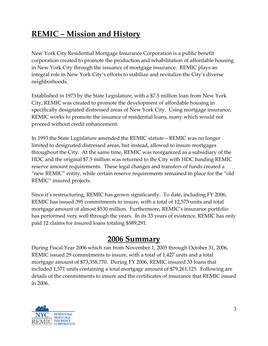# **REMIC – Mission and History**

New York City Residential Mortgage Insurance Corporation is a public benefit corporation created to promote the production and rehabilitation of affordable housing in New York City through the issuance of mortgage insurance. REMIC plays an integral role in New York City's efforts to stabilize and revitalize the City's diverse neighborhoods.

Established in 1973 by the State Legislature, with a \$7.5 million loan from New York City, REMIC was created to promote the development of affordable housing in specifically designated distressed areas of New York City. Using mortgage insurance, REMIC works to promote the issuance of residential loans, many which would not proceed without credit enhancement.

In 1993 the State Legislature amended the REMIC statute—REMIC was no longer limited to designated distressed areas, but instead, allowed to insure mortgages throughout the City. At the same time, REMIC was reorganized as a subsidiary of the HDC and the original \$7.5 million was returned to the City with HDC funding REMIC reserve amount requirements. These legal changes and transfers of funds created a "new REMIC" entity, while certain reserve requirements remained in place for the "old REMIC" insured projects.

Since it's restructuring, REMIC has grown significantly. To date, including FY 2006, REMIC has issued 395 commitments to insure, with a total of 12,573 units and total mortgage amount of almost \$530 million. Furthermore, REMIC's insurance portfolio has performed very well through the years. In its 33 years of existence, REMIC has only paid 12 claims for insured loans totaling \$589,291.

#### **2006 Summary**

During Fiscal Year 2006 which ran from November 1, 2005 through October 31, 2006, REMIC issued 29 commitments to insure, with a total of 1,427 units and a total mortgage amount of \$73,358,770. During FY 2006, REMIC insured 33 loans that included 1,571 units containing a total mortgage amount of \$79,261,125. Following are details of the commitments to insure and the certificates of insurance that REMIC issued in 2006.

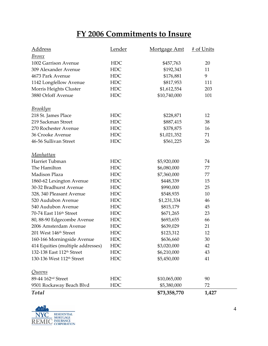# **FY 2006 Commitments to Insure**

| <u>Address</u>                        | <u>Lender</u> | Mortgage Amt | # of Units |
|---------------------------------------|---------------|--------------|------------|
| <u>Bronx</u>                          |               |              |            |
| 1002 Garrison Avenue                  | <b>HDC</b>    | \$457,763    | 20         |
| 309 Alexander Avenue                  | <b>HDC</b>    | \$192,343    | 11         |
| 4673 Park Avenue                      | <b>HDC</b>    | \$176,881    | 9          |
| 1142 Longfellow Avenue                | <b>HDC</b>    | \$817,953    | 111        |
| Morris Heights Cluster                | <b>HDC</b>    | \$1,612,554  | 203        |
| 3880 Orloff Avenue                    | <b>HDC</b>    | \$10,740,000 | 101        |
| <u>Brooklyn</u>                       |               |              |            |
| 218 St. James Place                   | <b>HDC</b>    | \$228,871    | 12         |
| 219 Sackman Street                    | <b>HDC</b>    | \$887,415    | 38         |
| 270 Rochester Avenue                  | <b>HDC</b>    | \$378,875    | 16         |
| 36 Crooke Avenue                      | <b>HDC</b>    | \$1,021,352  | 71         |
| 46-56 Sullivan Street                 | <b>HDC</b>    | \$561,225    | 26         |
| <u>Manhattan</u>                      |               |              |            |
| Harriet Tubman                        | <b>HDC</b>    | \$5,920,000  | 74         |
| The Hamilton                          | <b>HDC</b>    | \$6,080,000  | 77         |
| Madison Plaza                         | <b>HDC</b>    | \$7,360,000  | 77         |
| 1860-62 Lexington Avenue              | <b>HDC</b>    | \$448,339    | 15         |
| 30-32 Bradhurst Avenue                | <b>HDC</b>    | \$990,000    | 25         |
| 328, 340 Pleasant Avenue              | <b>HDC</b>    | \$548,935    | 10         |
| 520 Audubon Avenue                    | <b>HDC</b>    | \$1,231,334  | 46         |
| 540 Audubon Avenue                    | <b>HDC</b>    | \$815,179    | 45         |
| 70-74 East 116th Street               | <b>HDC</b>    | \$671,265    | 23         |
| 80, 88-90 Edgecombe Avenue            | <b>HDC</b>    | \$693,655    | 66         |
| 2006 Amsterdam Avenue                 | <b>HDC</b>    | \$639,029    | 21         |
| 201 West 146th Street                 | <b>HDC</b>    | \$123,312    | 12         |
| 160-166 Morningside Avenue            | HDC           | \$636,660    | 30         |
| 414 Equities (multiple addresses)     | <b>HDC</b>    | \$3,020,000  | 42         |
| 132-138 East 112 <sup>th</sup> Street | <b>HDC</b>    | \$6,210,000  | 43         |
| 130-136 West 112 <sup>th</sup> Street | <b>HDC</b>    | \$5,450,000  | 41         |
| <u>Queens</u>                         |               |              |            |
| 89-44 162 <sup>nd</sup> Street        | <b>HDC</b>    | \$10,065,000 | 90         |
| 9501 Rockaway Beach Blvd              | <b>HDC</b>    | \$5,380,000  | 72         |
| <b>Total</b>                          |               | \$73,358,770 | 1,427      |

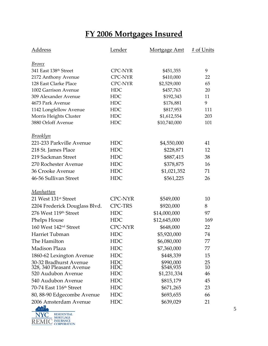# **FY 2006 Mortgages Insured**

| <u>Address</u>                                     | <b>Lender</b>     | Mortgage Amt           | # of Units |
|----------------------------------------------------|-------------------|------------------------|------------|
| <u>Bronx</u>                                       |                   |                        |            |
| 341 East 138th Street                              | <b>CPC-NYR</b>    | \$451,355              | 9          |
| 2172 Anthony Avenue                                | <b>CPC-NYR</b>    | \$410,000              | 22         |
| 128 East Clarke Place                              | <b>CPC-NYR</b>    | \$2,529,000            | 65         |
| 1002 Garrison Avenue                               | <b>HDC</b>        | \$457,763              | 20         |
| 309 Alexander Avenue                               | <b>HDC</b>        | \$192,343              | 11         |
| 4673 Park Avenue                                   | <b>HDC</b>        | \$176,881              | 9          |
| 1142 Longfellow Avenue                             | <b>HDC</b>        | \$817,953              | 111        |
| Morris Heights Cluster                             | <b>HDC</b>        | \$1,612,554            | 203        |
| 3880 Orloff Avenue                                 | <b>HDC</b>        | \$10,740,000           | 101        |
| <u>Brooklyn</u>                                    |                   |                        |            |
| 221-233 Parkville Avenue                           | <b>HDC</b>        | \$4,550,000            | 41         |
| 218 St. James Place                                | <b>HDC</b>        | \$228,871              | 12         |
| 219 Sackman Street                                 | <b>HDC</b>        | \$887,415              | 38         |
| 270 Rochester Avenue                               | <b>HDC</b>        | \$378,875              | 16         |
| 36 Crooke Avenue                                   | <b>HDC</b>        | \$1,021,352            | 71         |
| 46-56 Sullivan Street                              | <b>HDC</b>        | \$561,225              | 26         |
| <u>Manhattan</u>                                   |                   |                        |            |
| 21 West 131 <sup>st</sup> Street                   | <b>CPC-NYR</b>    | \$549,000              | 10         |
| 2204 Frederick Douglass Blvd.                      | <b>CPC-TRS</b>    | \$920,000              | 8          |
| 276 West 119th Street                              | <b>HDC</b>        | \$14,000,000           | 97         |
| Phelps House                                       | <b>HDC</b>        | \$12,645,000           | 169        |
| 160 West 142 <sup>nd</sup> Street                  | <b>CPC-NYR</b>    | \$648,000              | 22         |
| Harriet Tubman                                     | <b>HDC</b>        | \$5,920,000            | 74         |
| The Hamilton                                       | <b>HDC</b>        | \$6,080,000            | 77         |
| Madison Plaza                                      | <b>HDC</b>        | \$7,360,000            | 77         |
| 1860-62 Lexington Avenue                           | <b>HDC</b>        | \$448,339              | 15         |
| 30-32 Bradhurst Avenue<br>328, 340 Pleasant Avenue | HDC<br><b>HDC</b> | \$990,000<br>\$548,935 | 25<br>10   |
| 520 Audubon Avenue                                 | <b>HDC</b>        | \$1,231,334            | 46         |
| 540 Audubon Avenue                                 | <b>HDC</b>        | \$815,179              | 45         |
| 70-74 East 116 <sup>th</sup> Street                | <b>HDC</b>        | \$671,265              | 23         |
| 80, 88-90 Edgecombe Avenue                         | <b>HDC</b>        | \$693,655              | 66         |
| 2006 Amsterdam Avenue                              | <b>HDC</b>        | \$639,029              | 21         |
|                                                    |                   |                        |            |

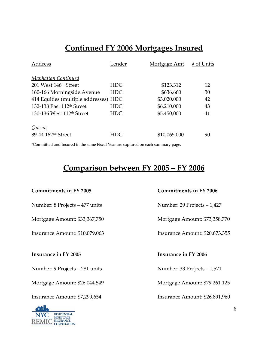# **Continued FY 2006 Mortgages Insured**

| Address                               | Lender     | <u>Mortgage Amt</u> | # of Units |
|---------------------------------------|------------|---------------------|------------|
| Manhattan Continued                   |            |                     |            |
| 201 West 146 <sup>th</sup> Street     | HDC        | \$123,312           | 12         |
| 160-166 Morningside Avenue            | HDC.       | \$636,660           | 30         |
| 414 Equities (multiple addresses) HDC |            | \$3,020,000         | 42         |
| 132-138 East 112 <sup>th</sup> Street | <b>HDC</b> | \$6,210,000         | 43         |
| 130-136 West 112 <sup>th</sup> Street | <b>HDC</b> | \$5,450,000         | 41         |
| Queens                                |            |                     |            |
| 89-44 162 <sup>nd</sup> Street        | HDC        | \$10,065,000        | 90         |

\*Committed and Insured in the same Fiscal Year are captured on each summary page.

#### **Comparison between FY 2005 – FY 2006**

#### **Commitments in FY 2005 Commitments in FY 2006**

Number: 8 Projects – 477 units Number: 29 Projects – 1,427

Insurance Amount: \$10,079,063 Insurance Amount: \$20,673,355

#### **Insurance in FY 2005 Insurance in FY 2006**

Number: 9 Projects – 281 units Number: 33 Projects – 1,571

Mortgage Amount: \$26,044,549 Mortgage Amount: \$79,261,125



Mortgage Amount: \$33,367,750 Mortgage Amount: \$73,358,770

Insurance Amount: \$7,299,654 Insurance Amount: \$26,891,960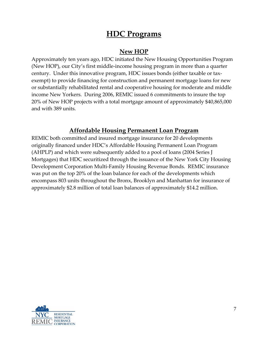### **HDC Programs**

#### **New HOP**

Approximately ten years ago, HDC initiated the New Housing Opportunities Program (New HOP), our City's first middle‐income housing program in more than a quarter century. Under this innovative program, HDC issues bonds (either taxable or tax‐ exempt) to provide financing for construction and permanent mortgage loans for new or substantially rehabilitated rental and cooperative housing for moderate and middle income New Yorkers. During 2006, REMIC issued 6 commitments to insure the top 20% of New HOP projects with a total mortgage amount of approximately \$40,865,000 and with 389 units.

#### **Affordable Housing Permanent Loan Program**

REMIC both committed and insured mortgage insurance for 20 developments originally financed under HDC's Affordable Housing Permanent Loan Program (AHPLP) and which were subsequently added to a pool of loans (2004 Series J Mortgages) that HDC securitized through the issuance of the New York City Housing Development Corporation Multi‐Family Housing Revenue Bonds. REMIC insurance was put on the top 20% of the loan balance for each of the developments which encompass 803 units throughout the Bronx, Brooklyn and Manhattan for insurance of approximately \$2.8 million of total loan balances of approximately \$14.2 million.

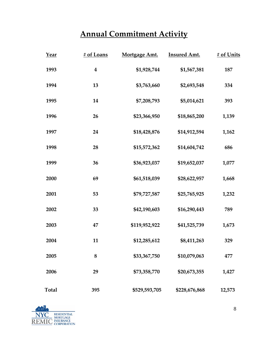# **Annual Commitment Activity**

| Year         | # of Loans       | Mortgage Amt. | <b>Insured Amt.</b> | # of Units |
|--------------|------------------|---------------|---------------------|------------|
| 1993         | $\boldsymbol{4}$ | \$1,928,744   | \$1,567,381         | 187        |
| 1994         | 13               | \$3,763,660   | \$2,693,548         | 334        |
| 1995         | 14               | \$7,208,793   | \$5,014,621         | 393        |
| 1996         | 26               | \$23,366,950  | \$18,865,200        | 1,139      |
| 1997         | 24               | \$18,428,876  | \$14,912,594        | 1,162      |
| 1998         | 28               | \$15,572,362  | \$14,604,742        | 686        |
| 1999         | 36               | \$36,923,037  | \$19,652,037        | 1,077      |
| 2000         | 69               | \$61,518,039  | \$28,622,957        | 1,668      |
| 2001         | 53               | \$79,727,587  | \$25,765,925        | 1,232      |
| 2002         | 33               | \$42,190,603  | \$16,290,443        | 789        |
| 2003         | 47               | \$119,952,922 | \$41,525,739        | 1,673      |
| 2004         | 11               | \$12,285,612  | \$8,411,263         | 329        |
| 2005         | 8                | \$33,367,750  | \$10,079,063        | 477        |
| 2006         | 29               | \$73,358,770  | \$20,673,355        | 1,427      |
| <b>Total</b> | 395              | \$529,593,705 | \$228,676,868       | 12,573     |

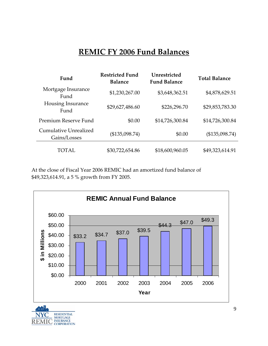# **REMIC FY 2006 Fund Balances**

| Fund                                  | <b>Restricted Fund</b><br><b>Balance</b> | Unrestricted<br><b>Fund Balance</b> | <b>Total Balance</b> |
|---------------------------------------|------------------------------------------|-------------------------------------|----------------------|
| Mortgage Insurance<br>Fund            | \$1,230,267.00                           | \$3,648,362.51                      | \$4,878,629.51       |
| Housing Insurance<br>Fund             | \$29,627,486.60                          | \$226,296.70                        | \$29,853,783.30      |
| Premium Reserve Fund                  | \$0.00                                   | \$14,726,300.84                     | \$14,726,300.84      |
| Cumulative Unrealized<br>Gains/Losses | (\$135,098.74)                           | \$0.00                              | (\$135,098.74)       |
| TOTAL                                 | \$30,722,654.86                          | \$18,600,960.05                     | \$49,323,614.91      |

At the close of Fiscal Year 2006 REMIC had an amortized fund balance of \$49,323,614.91, a 5 % growth from FY 2005.



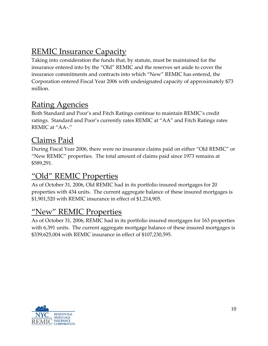# **REMIC Insurance Capacity**

Taking into consideration the funds that, by statute, must be maintained for the insurance entered into by the "Old" REMIC and the reserves set aside to cover the insurance commitments and contracts into which "New" REMIC has entered, the Corporation entered Fiscal Year 2006 with undesignated capacity of approximately \$73 million.

# Rating Agencies

Both Standard and Poor's and Fitch Ratings continue to maintain REMIC's credit ratings. Standard and Poor's currently rates REMIC at "AA" and Fitch Ratings rates REMIC at "AA‐."

#### Claims Paid

During Fiscal Year 2006, there were no insurance claims paid on either "Old REMIC" or "New REMIC" properties. The total amount of claims paid since 1973 remains at \$589,291.

#### "Old" REMIC Properties

As of October 31, 2006, Old REMIC had in its portfolio insured mortgages for 20 properties with 434 units. The current aggregate balance of these insured mortgages is \$1,901,520 with REMIC insurance in effect of \$1,214,905.

#### "New" REMIC Properties

As of October 31, 2006, REMIC had in its portfolio insured mortgages for 163 properties with 6,391 units. The current aggregate mortgage balance of these insured mortgages is \$339,625,004 with REMIC insurance in effect of \$107,230,595.

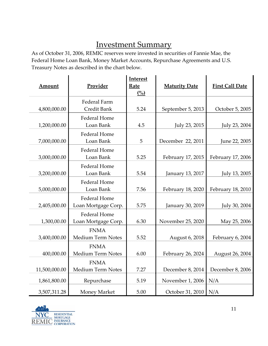# Investment Summary

As of October 31, 2006, REMIC reserves were invested in securities of Fannie Mae, the Federal Home Loan Bank, Money Market Accounts, Repurchase Agreements and U.S. Treasury Notes as described in the chart below.

| Amount        | Provider                                   | <b>Interest</b><br><b>Rate</b><br>(%) | <b>Maturity Date</b> | <b>First Call Date</b> |
|---------------|--------------------------------------------|---------------------------------------|----------------------|------------------------|
| 4,800,000.00  | Federal Farm<br>Credit Bank                | 5.24                                  | September 5, 2013    | October 5, 2005        |
| 1,200,000.00  | <b>Federal Home</b><br>Loan Bank           | 4.5                                   | July 23, 2015        | July 23, 2004          |
| 7,000,000.00  | <b>Federal Home</b><br>Loan Bank           | 5                                     | December 22, 2011    | June 22, 2005          |
| 3,000,000.00  | <b>Federal Home</b><br>Loan Bank           | 5.25                                  | February 17, 2015    | February 17, 2006      |
| 3,200,000.00  | <b>Federal Home</b><br>Loan Bank           | 5.54                                  | January 13, 2017     | July 13, 2005          |
| 5,000,000.00  | <b>Federal Home</b><br>Loan Bank           | 7.56                                  | February 18, 2020    | February 18, 2010      |
| 2,405,000.00  | <b>Federal Home</b><br>Loan Mortgage Corp. | 5.75                                  | January 30, 2019     | July 30, 2004          |
| 1,300,00.00   | <b>Federal Home</b><br>Loan Mortgage Corp. | 6.30                                  | November 25, 2020    | May 25, 2006           |
| 3,400,000.00  | <b>FNMA</b><br>Medium Term Notes           | 5.52                                  | August 6, 2018       | February 6, 2004       |
| 400,000.00    | <b>FNMA</b><br>Medium Term Notes           | 6.00                                  | February 26, 2024    | August 26, 2004        |
| 11,500,000.00 | <b>FNMA</b><br>Medium Term Notes           | 7.27                                  | December 8, 2014     | December 8, 2006       |
| 1,861,800.00  | Repurchase                                 | 5.19                                  | November 1, 2006     | N/A                    |
| 3,507,311.28  | Money Market                               | 5.00                                  | October 31, 2010     | N/A                    |

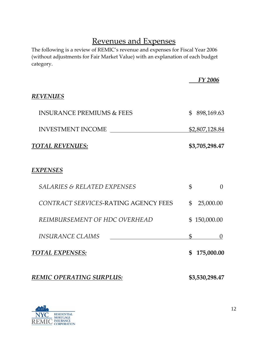# Revenues and Expenses

The following is a review of REMIC's revenue and expenses for Fiscal Year 2006 (without adjustments for Fair Market Value) with an explanation of each budget category.

|                                        |              | FY 2006        |
|----------------------------------------|--------------|----------------|
| <b>REVENUES</b>                        |              |                |
| <b>INSURANCE PREMIUMS &amp; FEES</b>   |              | \$898,169.63   |
| INVESTMENT INCOME                      |              | \$2,807,128.84 |
| <b>TOTAL REVENUES:</b>                 |              | \$3,705,298.47 |
| <b>EXPENSES</b>                        |              |                |
| <b>SALARIES &amp; RELATED EXPENSES</b> | \$           | $\theta$       |
| CONTRACT SERVICES-RATING AGENCY FEES   | $\mathbb{S}$ | 25,000.00      |
| REIMBURSEMENT OF HDC OVERHEAD          |              | \$150,000.00   |
| <b>INSURANCE CLAIMS</b>                | $\mathbb{S}$ | $\theta$       |
| <b>TOTAL EXPENSES:</b>                 |              | \$175,000.00   |
| <b>REMIC OPERATING SURPLUS:</b>        |              | \$3,530,298.47 |